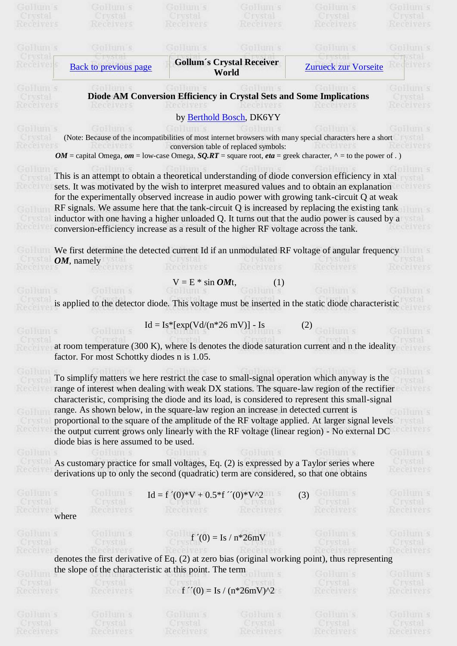| <b>EVSER</b>                                                                                                                                                                                               |                                                                                                                                                                                   |                                    |                                       | <b>SEDERITIES</b>                                                                                                                                                                                                                                                                                                                                                                                                                                                                                    |                                                                                                                                                                           |
|------------------------------------------------------------------------------------------------------------------------------------------------------------------------------------------------------------|-----------------------------------------------------------------------------------------------------------------------------------------------------------------------------------|------------------------------------|---------------------------------------|------------------------------------------------------------------------------------------------------------------------------------------------------------------------------------------------------------------------------------------------------------------------------------------------------------------------------------------------------------------------------------------------------------------------------------------------------------------------------------------------------|---------------------------------------------------------------------------------------------------------------------------------------------------------------------------|
| Receivers                                                                                                                                                                                                  | <b>TWSFA</b><br><b>Necel Vers</b>                                                                                                                                                 | <b>TWSER!</b><br><b>Necelvers</b>  | <b>TWSFAR</b><br><b>Necesvers</b>     | <b>TWSER!</b><br><b>Necel Vers</b>                                                                                                                                                                                                                                                                                                                                                                                                                                                                   | <b>NECEIVANS</b>                                                                                                                                                          |
|                                                                                                                                                                                                            |                                                                                                                                                                                   |                                    |                                       |                                                                                                                                                                                                                                                                                                                                                                                                                                                                                                      |                                                                                                                                                                           |
| Gpeum s                                                                                                                                                                                                    | Goldum s                                                                                                                                                                          | GBHUILS                            | GBHum s                               | Goldum s                                                                                                                                                                                                                                                                                                                                                                                                                                                                                             | GENERAL S                                                                                                                                                                 |
| <b>INSEAL</b>                                                                                                                                                                                              |                                                                                                                                                                                   |                                    | <b>Gollum's Crystal Receiver</b>      |                                                                                                                                                                                                                                                                                                                                                                                                                                                                                                      | vstal                                                                                                                                                                     |
| Receiver                                                                                                                                                                                                   | <b>Back to previous page</b>                                                                                                                                                      |                                    | World                                 | <b>Zurueck zur Vorseite</b>                                                                                                                                                                                                                                                                                                                                                                                                                                                                          | <b>Receivers</b>                                                                                                                                                          |
| GBHHILLS                                                                                                                                                                                                   |                                                                                                                                                                                   |                                    |                                       | Diode AM Conversion Efficiency in Crystal Sets and Some Implications                                                                                                                                                                                                                                                                                                                                                                                                                                 | GREETH S                                                                                                                                                                  |
| Crystal<br>Receivers                                                                                                                                                                                       | Receivers                                                                                                                                                                         | Receivers                          | Receivers                             | Receivers                                                                                                                                                                                                                                                                                                                                                                                                                                                                                            | <b>Crystal</b><br>Receivers                                                                                                                                               |
|                                                                                                                                                                                                            |                                                                                                                                                                                   |                                    | by Berthold Bosch, DK6YY              |                                                                                                                                                                                                                                                                                                                                                                                                                                                                                                      |                                                                                                                                                                           |
| GEBRUITE S                                                                                                                                                                                                 |                                                                                                                                                                                   |                                    |                                       | (Note: Because of the incompatibilities of most internet browsers with many special characters here a short                                                                                                                                                                                                                                                                                                                                                                                          |                                                                                                                                                                           |
|                                                                                                                                                                                                            |                                                                                                                                                                                   |                                    | conversion table of replaced symbols: | Receivers                                                                                                                                                                                                                                                                                                                                                                                                                                                                                            |                                                                                                                                                                           |
|                                                                                                                                                                                                            |                                                                                                                                                                                   |                                    |                                       | $OM =$ capital Omega, om = low-case Omega, $SQLRT =$ square root, eta = greek character, $\wedge$ = to the power of.)                                                                                                                                                                                                                                                                                                                                                                                |                                                                                                                                                                           |
|                                                                                                                                                                                                            | conversion-efficiency increase as a result of the higher RF voltage across the tank.                                                                                              |                                    |                                       | This is an attempt to obtain a theoretical understanding of diode conversion efficiency in xtal<br>sets. It was motivated by the wish to interpret measured values and to obtain an explanation<br>for the experimentally observed increase in audio power with growing tank-circuit Q at weak<br>RF signals. We assume here that the tank-circuit $Q$ is increased by replacing the existing tank<br>inductor with one having a higher unloaded Q. It turns out that the audio power is caused by a | <b>Nece vers</b>                                                                                                                                                          |
|                                                                                                                                                                                                            |                                                                                                                                                                                   |                                    |                                       |                                                                                                                                                                                                                                                                                                                                                                                                                                                                                                      |                                                                                                                                                                           |
| TWSTR                                                                                                                                                                                                      | <i>OM</i> , namely                                                                                                                                                                | Crystal                            |                                       | We first determine the detected current Id if an unmodulated RF voltage of angular frequency<br><b>TWSER!</b>                                                                                                                                                                                                                                                                                                                                                                                        | <b>LYSERE</b>                                                                                                                                                             |
| Receivers                                                                                                                                                                                                  | <b>INPOPIVANS</b>                                                                                                                                                                 | Receivers                          | Receivers                             | Receivers                                                                                                                                                                                                                                                                                                                                                                                                                                                                                            | <b>Nece vers</b>                                                                                                                                                          |
|                                                                                                                                                                                                            |                                                                                                                                                                                   | $V = E * sin \textbf{OM}t$ ,       | (1)                                   |                                                                                                                                                                                                                                                                                                                                                                                                                                                                                                      |                                                                                                                                                                           |
| Gowum s                                                                                                                                                                                                    | Goldum s                                                                                                                                                                          | Goldum s                           | GpHum s                               | Goldum s                                                                                                                                                                                                                                                                                                                                                                                                                                                                                             | Goldun s                                                                                                                                                                  |
|                                                                                                                                                                                                            | is applied to the detector diode. This voltage must be inserted in the static diode characteristic                                                                                |                                    |                                       |                                                                                                                                                                                                                                                                                                                                                                                                                                                                                                      |                                                                                                                                                                           |
|                                                                                                                                                                                                            |                                                                                                                                                                                   |                                    |                                       |                                                                                                                                                                                                                                                                                                                                                                                                                                                                                                      |                                                                                                                                                                           |
|                                                                                                                                                                                                            |                                                                                                                                                                                   |                                    |                                       |                                                                                                                                                                                                                                                                                                                                                                                                                                                                                                      |                                                                                                                                                                           |
|                                                                                                                                                                                                            |                                                                                                                                                                                   | $Id = Is*[exp(Vd/(n*26 mV)] - Is]$ |                                       | (2)                                                                                                                                                                                                                                                                                                                                                                                                                                                                                                  |                                                                                                                                                                           |
| <b>MITTLE</b>                                                                                                                                                                                              | GDHUILS                                                                                                                                                                           |                                    | GENERAL S                             | <b>COMMITTEE</b>                                                                                                                                                                                                                                                                                                                                                                                                                                                                                     |                                                                                                                                                                           |
|                                                                                                                                                                                                            | factor. For most Schottky diodes n is 1.05.                                                                                                                                       |                                    |                                       | at room temperature (300 K), where Is denotes the diode saturation current and n the ideality                                                                                                                                                                                                                                                                                                                                                                                                        |                                                                                                                                                                           |
|                                                                                                                                                                                                            | range. As shown below, in the square-law region an increase in detected current is<br>diode bias is here assumed to be used.                                                      |                                    |                                       | To simplify matters we here restrict the case to small-signal operation which anyway is the<br>range of interest when dealing with weak DX stations. The square-law region of the rectifier<br>characteristic, comprising the diode and its load, is considered to represent this small-signal<br>proportional to the square of the amplitude of the RF voltage applied. At larger signal levels<br>the output current grows only linearly with the RF voltage (linear region) - No external DC      |                                                                                                                                                                           |
|                                                                                                                                                                                                            |                                                                                                                                                                                   |                                    |                                       |                                                                                                                                                                                                                                                                                                                                                                                                                                                                                                      |                                                                                                                                                                           |
|                                                                                                                                                                                                            | As customary practice for small voltages, Eq. (2) is expressed by a Taylor series where<br>derivations up to only the second (quadratic) term are considered, so that one obtains |                                    |                                       |                                                                                                                                                                                                                                                                                                                                                                                                                                                                                                      |                                                                                                                                                                           |
|                                                                                                                                                                                                            |                                                                                                                                                                                   |                                    |                                       |                                                                                                                                                                                                                                                                                                                                                                                                                                                                                                      |                                                                                                                                                                           |
|                                                                                                                                                                                                            | Gplaum s                                                                                                                                                                          | $Id = f'(0)*V + 0.5*f''(0)*V^2$    |                                       | $(3)$ G and $(3)$                                                                                                                                                                                                                                                                                                                                                                                                                                                                                    | Crystal                                                                                                                                                                   |
|                                                                                                                                                                                                            | Crystal<br>Receivers                                                                                                                                                              | Crystal Crystal<br>Receivers       | Receivers                             | Crystal<br>Receivers                                                                                                                                                                                                                                                                                                                                                                                                                                                                                 | Crystal                                                                                                                                                                   |
|                                                                                                                                                                                                            |                                                                                                                                                                                   |                                    |                                       |                                                                                                                                                                                                                                                                                                                                                                                                                                                                                                      |                                                                                                                                                                           |
|                                                                                                                                                                                                            | Goldum s                                                                                                                                                                          |                                    | $f'(0) = Is / n*26mV$                 | Goldum s<br>Crystal                                                                                                                                                                                                                                                                                                                                                                                                                                                                                  |                                                                                                                                                                           |
|                                                                                                                                                                                                            | Crystal                                                                                                                                                                           |                                    |                                       |                                                                                                                                                                                                                                                                                                                                                                                                                                                                                                      | Crystal                                                                                                                                                                   |
|                                                                                                                                                                                                            |                                                                                                                                                                                   |                                    |                                       | denotes the first derivative of Eq. (2) at zero bias (original working point), thus representing                                                                                                                                                                                                                                                                                                                                                                                                     |                                                                                                                                                                           |
|                                                                                                                                                                                                            | the slope of the characteristic at this point. The term<br>Gpeunts                                                                                                                |                                    | Spettfit S                            | Gplaum s                                                                                                                                                                                                                                                                                                                                                                                                                                                                                             |                                                                                                                                                                           |
|                                                                                                                                                                                                            | Crystal                                                                                                                                                                           |                                    |                                       | Crystal                                                                                                                                                                                                                                                                                                                                                                                                                                                                                              | Crystal                                                                                                                                                                   |
|                                                                                                                                                                                                            | Receivers                                                                                                                                                                         |                                    | $f''(0) = Is / (n*26mV)^2$            | Receivers                                                                                                                                                                                                                                                                                                                                                                                                                                                                                            |                                                                                                                                                                           |
|                                                                                                                                                                                                            |                                                                                                                                                                                   |                                    |                                       |                                                                                                                                                                                                                                                                                                                                                                                                                                                                                                      |                                                                                                                                                                           |
| Gplum<br><b>Regels</b><br>Gallun<br>Receive<br>Gollum s<br>Crysta<br>Receive<br>Goldum s<br>Crystal<br>where<br>Goldum s<br>Crystal<br>Receivers<br>Goldum s<br>Crystal<br>Receivers<br>GBHUILS<br>Crystal | Gullum s<br>Crystal                                                                                                                                                               | Gullum s<br>Crystal                | Gullum s<br>Crystal                   | Gullum s<br>Crystal                                                                                                                                                                                                                                                                                                                                                                                                                                                                                  | <b>Alvars</b><br><b>HUILS</b><br>eceivers<br>GpHum s<br>Receivers<br>Goldum s<br>Receivers<br>Goldum s<br><b>Receivers</b><br>Goldum s<br>Receivers<br>GBHUILS<br>Crystal |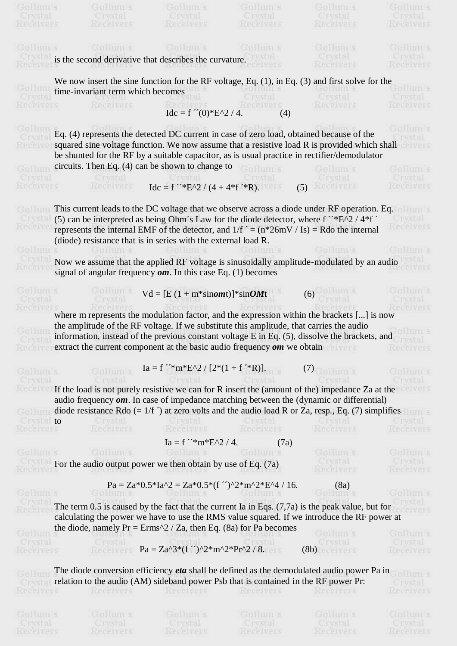| Crystal                     | Crystal                                                                                     | Crystal                                                        | Crystal          | <b>Crystal</b>                                                                                                               | <b>CINSER!</b>                     |
|-----------------------------|---------------------------------------------------------------------------------------------|----------------------------------------------------------------|------------------|------------------------------------------------------------------------------------------------------------------------------|------------------------------------|
| <b>Necel vers</b>           | Receivers                                                                                   | Receivers                                                      | <b>Nece vers</b> | <b>Nece vers</b>                                                                                                             | <b>Necelvers</b>                   |
| GBHUILS                     | Goldum s                                                                                    | Gullum s                                                       | Gullum s         | Gplum s                                                                                                                      | GEBRUITES                          |
|                             | is the second derivative that describes the curvature.                                      |                                                                |                  | <b>CTWSFAL</b>                                                                                                               |                                    |
|                             |                                                                                             |                                                                | Neceivers        | <b>Receivers</b>                                                                                                             | Receivers                          |
|                             |                                                                                             |                                                                |                  | We now insert the sine function for the RF voltage, Eq. $(1)$ , in Eq. $(3)$ and first solve for the                         |                                    |
|                             | time-invariant term which becomes                                                           |                                                                |                  | Gpeun s                                                                                                                      | Gulaum s                           |
| <b>Neceivers</b>            | Receivers                                                                                   |                                                                |                  | Crystal<br>Receivers                                                                                                         | Crystal<br><b>Necesvers</b>        |
|                             |                                                                                             | $Idc = f''(0) * E^2 / 4.$                                      | (4)              |                                                                                                                              |                                    |
|                             | Eq. (4) represents the detected DC current in case of zero load, obtained because of the    |                                                                |                  |                                                                                                                              | GREETH'S                           |
|                             |                                                                                             |                                                                |                  | squared sine voltage function. We now assume that a resistive load R is provided which shall                                 |                                    |
|                             |                                                                                             |                                                                |                  | be shunted for the RF by a suitable capacitor, as is usual practice in rectifier/demodulator                                 |                                    |
|                             | circuits. Then Eq. $(4)$ can be shown to change to                                          |                                                                |                  | Guleum s                                                                                                                     | GB-HILLS                           |
| <b>CTWSTAR</b>              |                                                                                             |                                                                |                  | <b>CINSTAR</b>                                                                                                               | <b>CINSERI</b>                     |
| <b>Necelvers</b>            | Receivers                                                                                   | $Idc = f^{\prime\prime}E^{0}2 / (4 + 4*f^{\prime}R).$          |                  | (5)<br>Receivers                                                                                                             | <b>Nece vers</b>                   |
|                             |                                                                                             |                                                                |                  | This current leads to the DC voltage that we observe across a diode under RF operation. Eq.                                  |                                    |
|                             |                                                                                             |                                                                |                  | (5) can be interpreted as being Ohm's Law for the diode detector, where $f^{\prime\prime\ast}E^{\prime\prime}2/4*f^{\prime}$ |                                    |
| <b>MECELPA</b>              |                                                                                             |                                                                |                  | represents the internal EMF of the detector, and $1/f = (n*26mV / Is) = Rdo$ the internal                                    | <b>NACA VALS</b>                   |
|                             | (diode) resistance that is in series with the external load R.                              |                                                                |                  |                                                                                                                              |                                    |
| GB-HILLS                    | Gullum s                                                                                    | Gphum s                                                        | Gulaum s         | Gullum s                                                                                                                     | Goldum s                           |
| <b>NECESS</b>               |                                                                                             |                                                                |                  | Now we assume that the applied RF voltage is sinusoidally amplitude-modulated by an audio<br>NHUP! VATS!                     | <b>VSLEE</b><br>Receivers          |
|                             | signal of angular frequency $\boldsymbol{om}$ . In this case Eq. (1) becomes                |                                                                |                  |                                                                                                                              |                                    |
| GENERAL S                   | Goldum s                                                                                    | $Vd = [E (1 + m*sinom t)] * sinOMt$                            |                  | (6)                                                                                                                          | GBHUH 5                            |
| <b>CINSER</b>               | <b>LET WATER</b>                                                                            |                                                                |                  |                                                                                                                              | <b>IWSE8</b>                       |
| <b>Receive</b>              |                                                                                             |                                                                |                  | where m represents the modulation factor, and the expression within the brackets [] is now                                   | <b>PCPIVALS</b>                    |
|                             | the amplitude of the RF voltage. If we substitute this amplitude, that carries the audio    |                                                                |                  |                                                                                                                              |                                    |
|                             |                                                                                             |                                                                |                  | information, instead of the previous constant voltage E in Eq. (5), dissolve the brackets, and                               |                                    |
|                             | extract the current component at the basic audio frequency $\boldsymbol{om}$ we obtain      |                                                                |                  |                                                                                                                              | <b>NANAIVAVE</b>                   |
|                             |                                                                                             |                                                                |                  |                                                                                                                              |                                    |
| Goldum s                    | GpHum s                                                                                     | $Ia = f^{\prime\prime}$ m*E^2 / $[2*(1 + f^{\prime\prime}R)].$ |                  | (7)<br>Splitum s                                                                                                             | GB-HILLS                           |
| <b>Citysta</b><br>h'ece ve  |                                                                                             |                                                                |                  | If the load is not purely resistive we can for R insert the (amount of the) impedance Za at the                              | <b>TWSER</b><br><b>ICPI VALE</b>   |
|                             |                                                                                             |                                                                |                  | audio frequency $\boldsymbol{om}$ . In case of impedance matching between the (dynamic or differential)                      |                                    |
| GpHun                       |                                                                                             |                                                                |                  | diode resistance Rdo $(= 1/f)$ at zero volts and the audio load R or Za, resp., Eq. (7) simplifies                           |                                    |
| $\overline{\phantom{a}}$ to | <b>Crystal</b>                                                                              | Crystal                                                        | Crystal          | Crystal                                                                                                                      | Crystal                            |
| Receivers                   | <b>Receivers</b>                                                                            | Receivers                                                      | Receivers        | Receivers                                                                                                                    | <b>Nece vers</b>                   |
|                             |                                                                                             | $Ia = f^{\prime\prime}m*E^{02}/4.$                             | (7a)             |                                                                                                                              |                                    |
| GBHUILS                     | Gullum s                                                                                    | Gullum s                                                       | Gullum s         | Goldum s                                                                                                                     | Gulaum s                           |
| Receivers                   | <b>EXECUTE:</b> For the audio output power we then obtain by use of Eq. $(7a)$<br>Receivers | Receivers                                                      | <b>Nece vers</b> | Crystal<br><b>Receivers</b>                                                                                                  | <b>Crystal</b><br><b>Receivers</b> |
|                             |                                                                                             | $Pa = Za*0.5*Ia^2 = Za*0.5*(f')^2*m^2*E^4 / 16.$               |                  | (8a)                                                                                                                         |                                    |
| Goldum s                    | Goldun s                                                                                    | Goldum s                                                       | Goldum s         | Goldum s                                                                                                                     | Goldum s                           |
|                             |                                                                                             |                                                                |                  | The term 0.5 is caused by the fact that the current Ia in Eqs. $(7,7a)$ is the peak value, but for                           | ystal                              |
| Receive)                    |                                                                                             |                                                                |                  | calculating the power we have to use the RMS value squared. If we introduce the RF power at                                  | elvers                             |
|                             | the diode, namely $Pr = Erms^2 / Za$ , then Eq. (8a) for Pa becomes                         |                                                                |                  |                                                                                                                              |                                    |
| GBHUH S<br>Crystal          |                                                                                             | <b>USBIBILITIES</b>                                            |                  | Goldum s<br><b>UI WSTEL</b>                                                                                                  | Gueum s<br>Crystal                 |
| <b>Nece vers</b>            |                                                                                             | $Pa = Za^{3*}(f'')^{2*}m^{2*}Pr^{2}/8.$                        |                  | (8b)                                                                                                                         | <b>Receivers</b>                   |
|                             |                                                                                             |                                                                |                  | The diode conversion efficiency <i>eta</i> shall be defined as the demodulated audio power Pa in                             |                                    |
|                             | relation to the audio (AM) sideband power Psb that is contained in the RF power Pr:         |                                                                |                  |                                                                                                                              | FBIHTHITTE S                       |
| Receivers                   | Receivers                                                                                   | Receivers                                                      | Receivers        | Receivers                                                                                                                    | <b>IVSE8</b><br>Receivers          |
|                             |                                                                                             |                                                                |                  |                                                                                                                              |                                    |
| GBHUILS                     | Goldum s                                                                                    | Goldum s                                                       | Gullum s         | Goldum s                                                                                                                     | Gulaum s                           |
| Crystal                     | Crystal                                                                                     | Crystal                                                        | Crystal          | Crystal                                                                                                                      | Crystal                            |
| <b>NANA YAYE</b>            | Reneivore                                                                                   | Reneivare                                                      | Reneivore        | Reneivore                                                                                                                    | <b>Reneivare</b>                   |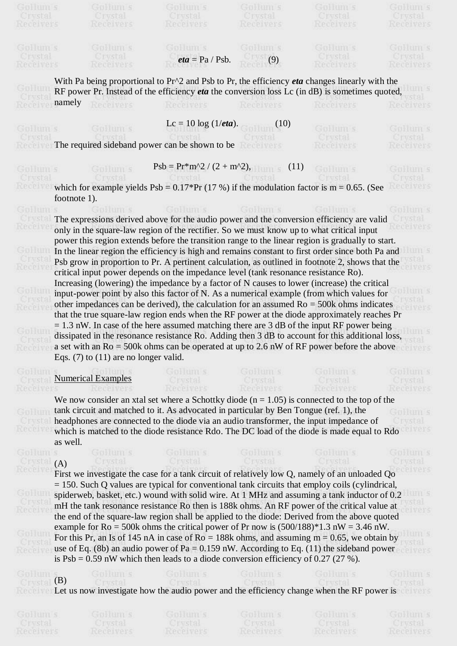|                                  | EN BELLEHE S                              | <b>DELLES</b>                                                                                           | <b>DELLES</b>                     | EUHUHI 5                         | D BELLEES                          |
|----------------------------------|-------------------------------------------|---------------------------------------------------------------------------------------------------------|-----------------------------------|----------------------------------|------------------------------------|
| <b>TWSER</b><br><b>Nece vers</b> | <b>TWSER!</b><br><b>Nece vers</b>         | <b>INSER!</b><br>Receivers                                                                              | <b>TWSER!</b><br><b>Nece vers</b> | <b>TWSER</b><br><b>Necesvers</b> | <b>INSER!</b><br><b>Necel Vers</b> |
|                                  |                                           |                                                                                                         |                                   |                                  |                                    |
|                                  |                                           |                                                                                                         |                                   |                                  |                                    |
| GBHUILS                          | GBHUIN 5                                  | Galeum s                                                                                                | GBHUH 5                           | Goldum s                         | GB-HILLS                           |
| Crystal                          | Crystal                                   | <i>eta</i> = $Pa / Psb$ .                                                                               | (9)<br><b>CPIVATS</b>             | Ciwstal<br><b>Nece vers</b>      | <b>Crystal</b>                     |
| Receivers                        | <b>Receivers</b>                          | <b>NPCPIVOVS</b>                                                                                        |                                   |                                  | Receivers                          |
|                                  |                                           | With Pa being proportional to $Pr^2$ and Psb to Pr, the efficiency <i>eta</i> changes linearly with the |                                   |                                  |                                    |
| <b>Capitaline</b>                |                                           | RF power Pr. Instead of the efficiency <i>eta</i> the conversion loss Lc (in dB) is sometimes quoted,   |                                   |                                  |                                    |
| namely                           |                                           |                                                                                                         |                                   |                                  |                                    |
|                                  |                                           | Receivers                                                                                               | <b>Necelvers</b>                  | <b>Neceivers</b>                 |                                    |
|                                  |                                           | Lc = 10 log $(1/eta)$ .                                                                                 | (10)                              |                                  |                                    |
| GBEER S                          | Gowum s                                   |                                                                                                         |                                   | Goldung s                        | GBHUILS                            |
|                                  |                                           | The required sideband power can be shown to be                                                          |                                   | <b>TWSER!</b>                    | <b>TWSER!</b>                      |
|                                  |                                           |                                                                                                         |                                   | <b>Nece vers</b>                 | <b>Necelvers</b>                   |
|                                  |                                           |                                                                                                         |                                   |                                  |                                    |
| GBHUIN S                         | Gpeun s                                   | $Psb = Pr*m^2 / (2 + m^2),$                                                                             | (11)                              |                                  | GBHUILS                            |
|                                  |                                           |                                                                                                         |                                   |                                  | <b>TWSER!</b>                      |
|                                  |                                           | which for example yields $Psb = 0.17*Pr(17%)$ if the modulation factor is m = 0.65. (See                |                                   |                                  | <b>Necesvers</b>                   |
| footnote 1).                     |                                           |                                                                                                         |                                   |                                  |                                    |
| Goldun s                         |                                           | GREETH S                                                                                                | Gulan s                           | Guidenne s                       | GREETH'S                           |
|                                  |                                           | The expressions derived above for the audio power and the conversion efficiency are valid               |                                   |                                  | <b>SEAL</b>                        |
| <b>Necely</b>                    |                                           | only in the square-law region of the rectifier. So we must know up to what critical input               |                                   |                                  | IVers                              |
|                                  |                                           | power this region extends before the transition range to the linear region is gradually to start.       |                                   |                                  |                                    |
|                                  |                                           |                                                                                                         |                                   |                                  |                                    |
|                                  |                                           | In the linear region the efficiency is high and remains constant to first order since both Pa and       |                                   |                                  | <b>TITLE</b>                       |
|                                  |                                           | Psb grow in proportion to Pr. A pertinent calculation, as outlined in footnote 2, shows that the        |                                   |                                  | <b>BOBIVATS</b>                    |
| <b>Mecelve</b>                   |                                           | critical input power depends on the impedance level (tank resonance resistance Ro).                     |                                   |                                  |                                    |
|                                  |                                           | Increasing (lowering) the impedance by a factor of N causes to lower (increase) the critical            |                                   |                                  |                                    |
|                                  |                                           | input-power point by also this factor of N. As a numerical example (from which values for               |                                   |                                  | <b>UTIL S</b>                      |
|                                  |                                           | other impedances can be derived), the calculation for an assumed $Ro = 500k$ ohms indicates             |                                   |                                  |                                    |
|                                  |                                           |                                                                                                         |                                   |                                  |                                    |
|                                  |                                           |                                                                                                         |                                   |                                  |                                    |
|                                  |                                           | that the true square-law region ends when the RF power at the diode approximately reaches Pr            |                                   |                                  |                                    |
|                                  |                                           | $= 1.3$ nW. In case of the here assumed matching there are 3 dB of the input RF power being             |                                   |                                  |                                    |
|                                  |                                           | dissipated in the resonance resistance Ro. Adding then 3 dB to account for this additional loss,        |                                   |                                  |                                    |
|                                  |                                           | a set with an $Ro = 500k$ ohms can be operated at up to 2.6 nW of RF power before the above             |                                   |                                  |                                    |
|                                  | Eqs. $(7)$ to $(11)$ are no longer valid. |                                                                                                         |                                   |                                  |                                    |
|                                  |                                           |                                                                                                         | GBHHH S                           |                                  | GENERAL S                          |
|                                  | <b>Numerical Examples</b>                 |                                                                                                         |                                   |                                  |                                    |
|                                  | <b>KANAI VALL</b>                         |                                                                                                         |                                   |                                  | Receivers                          |
|                                  |                                           | We now consider an xtal set where a Schottky diode ( $n = 1.05$ ) is connected to the top of the        |                                   |                                  |                                    |
|                                  |                                           | tank circuit and matched to it. As advocated in particular by Ben Tongue (ref. 1), the                  |                                   |                                  | <b>SHEITHES</b>                    |
|                                  |                                           | headphones are connected to the diode via an audio transformer, the input impedance of                  |                                   |                                  |                                    |
| <b>Necester</b>                  |                                           | which is matched to the diode resistance Rdo. The DC load of the diode is made equal to Rdo             |                                   |                                  | ceivers                            |
| as well.                         |                                           |                                                                                                         |                                   |                                  |                                    |
|                                  |                                           |                                                                                                         |                                   |                                  |                                    |
| Gplaum s                         | Goldum s                                  | Goldum s                                                                                                | Goldum s                          | Goldum s                         | Goldum s                           |
| (A)<br>Ci ystał                  |                                           | <b>CINSTAL</b>                                                                                          | Crystal                           | <b>CTVSTAL</b>                   | <b>INSUEL</b>                      |
| Receive)                         |                                           | First we investigate the case for a tank circuit of relatively low Q, namely of an unloaded Qo          |                                   |                                  | elvers                             |
|                                  |                                           | $= 150$ . Such Q values are typical for conventional tank circuits that employ coils (cylindrical,      |                                   |                                  |                                    |
| GRETTA                           |                                           | spiderweb, basket, etc.) wound with solid wire. At 1 MHz and assuming a tank inductor of 0.2            |                                   |                                  | um s                               |
| <b>CINSTAL</b>                   |                                           | mH the tank resonance resistance Ro then is 188k ohms. An RF power of the critical value at             |                                   |                                  | stal                               |
| <b>Receive</b>                   |                                           | the end of the square-law region shall be applied to the diode: Derived from the above quoted           |                                   |                                  | elvers                             |
|                                  |                                           | example for Ro = 500k ohms the critical power of Pr now is $(500/188)*1.3$ nW = 3.46 nW.                |                                   |                                  |                                    |
|                                  |                                           | For this Pr, an Is of 145 nA in case of $Ro = 188k$ ohms, and assuming $m = 0.65$ , we obtain by        |                                   |                                  | um s                               |
|                                  |                                           | use of Eq. (8b) an audio power of Pa = 0.159 nW. According to Eq. (11) the sideband power               |                                   |                                  |                                    |
|                                  |                                           |                                                                                                         |                                   |                                  |                                    |
|                                  |                                           | is $Psb = 0.59$ nW which then leads to a diode conversion efficiency of 0.27 (27 %).                    |                                   |                                  |                                    |
|                                  | Goldum s                                  | Goldum s                                                                                                | Goldum s                          | Goldum s                         | GBERINGS                           |
| (B)                              |                                           |                                                                                                         |                                   |                                  |                                    |
|                                  |                                           | Let us now investigate how the audio power and the efficiency change when the RF power is               |                                   |                                  |                                    |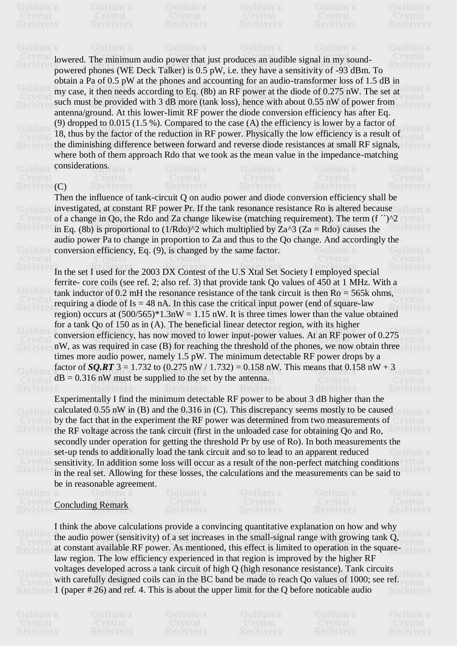lowered. The minimum audio power that just produces an audible signal in my soundpowered phones (WE Deck Talker) is 0.5 pW, i.e. they have a sensitivity of -93 dBm. To obtain a Pa of 0.5 pW at the phones and accounting for an audio-transformer loss of 1.5 dB in my case, it then needs according to Eq. (8b) an RF power at the diode of 0.275 nW. The set at such must be provided with 3 dB more (tank loss), hence with about 0.55 nW of power from antenna/ground. At this lower-limit RF power the diode conversion efficiency has after Eq. (9) dropped to 0.015 (1.5 %). Compared to the case (A) the efficiency is lower by a factor of 18, thus by the factor of the reduction in RF power. Physically the low efficiency is a result of the diminishing difference between forward and reverse diode resistances at small RF signals, where both of them approach Rdo that we took as the mean value in the impedance-matching considerations.

## (C)

Then the influence of tank-circuit Q on audio power and diode conversion efficiency shall be investigated, at constant RF power Pr. If the tank resonance resistance Ro is altered because of a change in Qo, the Rdo and Za change likewise (matching requirement). The term (f  $\gamma$ )<sup>^2</sup> in Eq. (8b) is proportional to  $(1/Rdo)^2$  which multiplied by Za^3 (Za = Rdo) causes the in Eq. (8b) is proportional to  $(1/Rdo)^2$  which multiplied by  $Za^3$  ( $Za = Rdo$ ) causes the audio power Pa to change in proportion to Za and thus to the Qo change. And accordingly the conversion efficiency, Eq. (9), is changed by the same factor.

In the set I used for the 2003 DX Contest of the U.S Xtal Set Society I employed special ferrite- core coils (see ref. 2; also ref. 3) that provide tank Qo values of 450 at 1 MHz. With a tank inductor of  $0.2$  mH the resonance resistance of the tank circuit is then  $Ro = 565k$  ohms, requiring a diode of  $Is = 48$  nA. In this case the critical input power (end of square-law region) occurs at  $(500/565)^*1.3nW = 1.15 nW$ . It is three times lower than the value obtained for a tank Qo of 150 as in (A). The beneficial linear detector region, with its higher conversion efficiency, has now moved to lower input-power values. At an RF power of 0.275 nW, as was required in case (B) for reaching the threshold of the phones, we now obtain three times more audio power, namely 1.5 pW. The minimum detectable RF power drops by a factor of *SQ.RT* 3 = 1.732 to (0.275 nW / 1.732) = 0.158 nW. This means that 0.158 nW + 3  $dB = 0.316$  nW must be supplied to the set by the antenna.

Experimentally I find the minimum detectable RF power to be about 3 dB higher than the calculated 0.55 nW in (B) and the 0.316 in (C). This discrepancy seems mostly to be caused by the fact that in the experiment the RF power was determined from two measurements of the RF voltage across the tank circuit (first in the unloaded case for obtaining Qo and Ro, secondly under operation for getting the threshold Pr by use of Ro). In both measurements the set-up tends to additionally load the tank circuit and so to lead to an apparent reduced sensitivity. In addition some loss will occur as a result of the non-perfect matching conditions in the real set. Allowing for these losses, the calculations and the measurements can be said to be in reasonable agreement.

## Concluding Remark

I think the above calculations provide a convincing quantitative explanation on how and why the audio power (sensitivity) of a set increases in the small-signal range with growing tank Q, at constant available RF power. As mentioned, this effect is limited to operation in the squarelaw region. The low efficiency experienced in that region is improved by the higher RF voltages developed across a tank circuit of high Q (high resonance resistance). Tank circuits with carefully designed coils can in the BC band be made to reach Qo values of 1000; see ref. 1 (paper # 26) and ref. 4. This is about the upper limit for the Q before noticable audio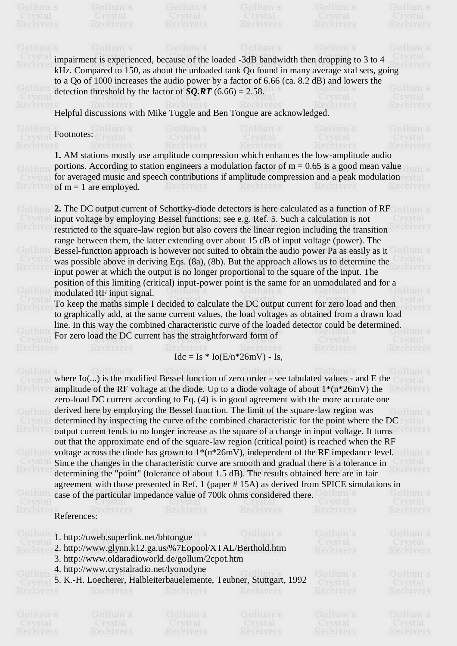|                             | Gulaum s                                                                                        | Goldum s             | GpHum s                           | GBHUILS             | GREETH S             |  |  |
|-----------------------------|-------------------------------------------------------------------------------------------------|----------------------|-----------------------------------|---------------------|----------------------|--|--|
|                             | impairment is experienced, because of the loaded -3dB bandwidth then dropping to 3 to 4         |                      |                                   |                     |                      |  |  |
|                             | kHz. Compared to 150, as about the unloaded tank Qo found in many average xtal sets, going      |                      |                                   |                     |                      |  |  |
|                             | to a Qo of 1000 increases the audio power by a factor of 6.66 (ca. 8.2 dB) and lowers the       |                      |                                   |                     |                      |  |  |
|                             | detection threshold by the factor of $SQ.RT$ (6.66) = 2.58.                                     |                      |                                   |                     |                      |  |  |
|                             |                                                                                                 |                      |                                   |                     |                      |  |  |
|                             |                                                                                                 |                      |                                   |                     |                      |  |  |
|                             | Helpful discussions with Mike Tuggle and Ben Tongue are acknowledged.                           |                      |                                   |                     |                      |  |  |
|                             |                                                                                                 |                      |                                   |                     |                      |  |  |
|                             | Footnotes:                                                                                      |                      |                                   |                     |                      |  |  |
|                             |                                                                                                 |                      |                                   |                     |                      |  |  |
|                             | 1. AM stations mostly use amplitude compression which enhances the low-amplitude audio          |                      |                                   |                     |                      |  |  |
|                             | portions. According to station engineers a modulation factor of $m = 0.65$ is a good mean value |                      |                                   |                     |                      |  |  |
|                             | for averaged music and speech contributions if amplitude compression and a peak modulation      |                      |                                   |                     |                      |  |  |
|                             | of $m = 1$ are employed.                                                                        | Receivers            | Receivers                         | Receivers           |                      |  |  |
|                             |                                                                                                 |                      |                                   |                     |                      |  |  |
|                             | 2. The DC output current of Schottky-diode detectors is here calculated as a function of RF     |                      |                                   |                     |                      |  |  |
|                             | input voltage by employing Bessel functions; see e.g. Ref. 5. Such a calculation is not         |                      |                                   |                     |                      |  |  |
|                             | restricted to the square-law region but also covers the linear region including the transition  |                      |                                   |                     |                      |  |  |
|                             | range between them, the latter extending over about 15 dB of input voltage (power). The         |                      |                                   |                     |                      |  |  |
|                             |                                                                                                 |                      |                                   |                     |                      |  |  |
|                             | Bessel-function approach is however not suited to obtain the audio power Pa as easily as it     |                      |                                   |                     |                      |  |  |
|                             | was possible above in deriving Eqs. (8a), (8b). But the approach allows us to determine the     |                      |                                   |                     |                      |  |  |
|                             | input power at which the output is no longer proportional to the square of the input. The       |                      |                                   |                     |                      |  |  |
|                             | position of this limiting (critical) input-power point is the same for an unmodulated and for a |                      |                                   |                     |                      |  |  |
|                             | modulated RF input signal.                                                                      | Gplium s             | GpHum s                           |                     | <b>HITTLE</b>        |  |  |
|                             | To keep the maths simple I decided to calculate the DC output current for zero load and then    |                      |                                   |                     |                      |  |  |
|                             | to graphically add, at the same current values, the load voltages as obtained from a drawn load |                      |                                   |                     |                      |  |  |
|                             | line. In this way the combined characteristic curve of the loaded detector could be determined. |                      |                                   |                     |                      |  |  |
|                             | For zero load the DC current has the straightforward form of                                    |                      |                                   |                     |                      |  |  |
|                             |                                                                                                 |                      |                                   |                     |                      |  |  |
|                             |                                                                                                 |                      | $Idc = Is * Io(E/n * 26mV) - Is,$ |                     |                      |  |  |
|                             |                                                                                                 |                      |                                   |                     |                      |  |  |
| Goldun                      | where Io() is the modified Bessel function of zero order - see tabulated values - and E the     |                      |                                   |                     | <b>BERTHES</b>       |  |  |
| Cryst                       | amplitude of the RF voltage at the diode. Up to a diode voltage of about $1*(n*26mV)$ the       |                      |                                   |                     |                      |  |  |
| Receiv                      | zero-load DC current according to Eq. (4) is in good agreement with the more accurate one       |                      |                                   |                     | <b>PCP VATS</b>      |  |  |
|                             | derived here by employing the Bessel function. The limit of the square-law region was           |                      |                                   |                     |                      |  |  |
| GpHun                       | determined by inspecting the curve of the combined characteristic for the point where the DC    |                      |                                   |                     | <b>HITTLS</b>        |  |  |
| Cryst                       |                                                                                                 |                      |                                   |                     | stal                 |  |  |
| Receive                     | output current tends to no longer increase as the square of a change in input voltage. It turns |                      |                                   |                     | celvers              |  |  |
|                             | out that the approximate end of the square-law region (critical point) is reached when the RF   |                      |                                   |                     |                      |  |  |
| GpHun                       | voltage across the diode has grown to $1*(n*26mV)$ , independent of the RF impedance level.     |                      |                                   |                     | <b>HIIIII: S</b>     |  |  |
| Cryst                       | Since the changes in the characteristic curve are smooth and gradual there is a tolerance in    |                      |                                   |                     | <b>I vstal</b>       |  |  |
| Receiv                      | determining the "point" (tolerance of about 1.5 dB). The results obtained here are in fair      |                      |                                   |                     | ecelvers             |  |  |
|                             | agreement with those presented in Ref. 1 (paper #15A) as derived from SPICE simulations in      |                      |                                   |                     |                      |  |  |
| GpHun                       | case of the particular impedance value of 700k ohms considered there.                           |                      |                                   | to hum s            | Goldum s             |  |  |
| Crystal                     |                                                                                                 | <b>UTWSER!</b>       |                                   | Crystal             | Crystal              |  |  |
| <b>Receive</b>              | CPIVEYS<br>References:                                                                          | Receivers            | Receivers                         | Receivers           | Receivers            |  |  |
|                             |                                                                                                 |                      |                                   |                     |                      |  |  |
| Goldum                      | 1. http://uweb.superlink.net/bhtongue                                                           |                      | Goldum s                          | GpHum s             | Goldum s             |  |  |
| Cryst                       | 2. http://www.glynn.k12.ga.us/%7Eopool/XTAL/Berthold.htm                                        |                      |                                   | Crystal             | Crystal              |  |  |
| <b>Receive</b>              |                                                                                                 |                      |                                   | Receivers           | Receivers            |  |  |
|                             | 3. http://www.oldaradioworld.de/gollum/2cpot.htm                                                |                      |                                   |                     |                      |  |  |
| GBEUT                       | 4. http://www.crystalradio.net/lyonodyne                                                        |                      |                                   | Goldum s            | Gpleum s             |  |  |
| <b>Ci ysta</b>              | 5. K.-H. Loecherer, Halbleiterbauelemente, Teubner, Stuttgart, 1992                             |                      |                                   | Crystal             | Crystal              |  |  |
| Receivers                   | Receivers                                                                                       | Receivers            | Receivers                         | Receivers           | Receivers            |  |  |
|                             |                                                                                                 |                      |                                   |                     |                      |  |  |
|                             |                                                                                                 |                      |                                   |                     |                      |  |  |
| Gpleum s                    | Goldum s                                                                                        | Goldum s             | Gplium s                          | Goldum s<br>Crystal | Goldum s             |  |  |
| Crystal<br><b>Receivers</b> | Crystal<br>Receivers                                                                            | Crystal<br>Receivers | Crystal<br>Receivers              | Receivers           | Crystal<br>Receivers |  |  |
|                             |                                                                                                 |                      |                                   |                     |                      |  |  |